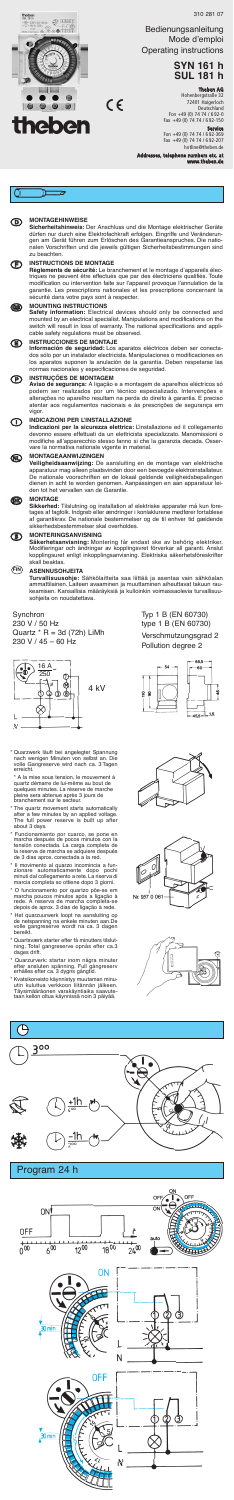#### ത **MONTAGEHINWEISE**

 **INSTRUCTIONS DE MONTAGE Règlements de sécurité:** Le branchement et le montage d'appareils électriques ne peuvent être effectués que par des électriciens qualifiés. Toute modification ou intervention faite sur l'appareil provoque l'annulation de la garantie. Les prescriptions nationales et les prescriptions concernant la sécurité dans votre pays sont à respecter.

**Sicherheitshinweis:** Der Anschluss und die Montage elektrischer Geräte dürfen nur durch eine Elektrofachkraft erfolgen. Eingriffe und Veränderungen am Gerät führen zum Erlöschen des Garantieanspruches. Die nationalen Vorschriften und die jeweils gültigen Sicherheitsbestimmungen sind zu beachten.

 $C \in$ 

 **MOUNTING INSTRUCTIONS Safety information:** Electrical devices should only be connected and mounted by an electrical specialist. Manipulations and modifications on the switch will result in loss of warranty. The national specifications and appli-cable safety regulations must be observed.

#### **INSTRUCCIONES DE MONTAJE**

**Información de seguridad:** Los aparatos eléctricos deben ser conectados sólo por un instalador electricista. Manipulaciones o modificaciones en los aparatos suponen la anulación de la garantía. Deben respetarse las normas nacionales y especificaciones de seguridad.

### **INSTRUÇÕES DE MONTAGEM**

#### $\circledS$ **MONTERINGSANVISNING**

**Aviso de segurança:** A ligação e a montagem de aparelhos eléctricos só podem ser realizados por um técnico especializado. Intervenções e alterações no aparelho resultam na perda do direito à garantia. E preciso atentar aos regulamentos nacionais e às prescrições de segurança em vigor.

### **INDICAZIONI PER L'INSTALLAZIONE**

\* Quarzwerk läuft bei angelegter Spannung nach wenigen Minuten von selbst an. Die volle Gangreserve wird nach ca. 3 Tagen erreicht

**Indicazioni per la sicurezza elettrica:** L'installazione ed il collegamento devonno essere effettuati da un elettricista specializzato. Manomissioni o modifiche all'apparecchio stesso fanno si che la garanzia decada. Osservare la normativa nationale vigente in material.

## **MONTAGEAANWIJZINGEN**

**Veiligheidsaanwijzing:** De aansluiting en de montage van elektrische apparatuur mag alleen plaatsvinden door een bevoegde elektroinstallateur. De nationale voorschriften en de lokaal geldende veiligheidsbepalingen dienen in acht te worden genomen. Aanpassingen en aan apparatuur leiden tot het vervallen van de Garantie.

- The quartz movement starts automatically<br>after a few minutes by an applied voltage. after a few minutes by an applied voltage. The full power reserve is built up after The full power<br>about 3 days.
- \* Funcionamiento por cuarco, se pone en marcha después de pocos minutos con la tensión conectada. La carga completa de la reserva de marcha se adquiere después de 3 dias aprox. conectada a la red.
- Il movimento al quarzo incomincia a fun-<br>zionare automaticamente dopo pochi<br>minuti dal collegamento a rete. La riserva di zionare automaticamente dopo pochi minuti dal collegamento a rete. La riserva di marcia completa so ottiene dopo 3 giorni.
- \* O funcionamento por quartzo põe-se em marcha poucos minutos após a ligação à rede. A reserva de marcha completa-se depois de aprox. 3 dias de ligação à rede.
- \* Het quarzuurwerk loopt na aansluiting op de netspanning na enkele minuten aan.De volle gangreserve wordt na ca. 3 dagen bereikt.
- \* Quartsværk starter efter få minutters tilslut-ning. Total gangreserve opnås efter ca.3 Sudi loved in Statiler ener<br>ning. Total gangreserve<br>dages drift.
- \* Quarzurverk: startar inom några minuter efter ansluten spänning. Full gångreserv erhålles efter ca. 3 dygns gångtid.
- \* Kvatsikoneisto käynnistyy muutaman minu-utin kuluttua verkkoon liitännän jälkeen. Täysimääräonen varakäyntiaika saavute-taan kellon oltua käynnissä noin 3 päiyää.





 **MONTAGE Sikkerhed:** Tilslutning og installation af elektriske apparater må kun foretages af fagfolk. Indgreb eller ændringer i konlaklurene medfører fortablese af garantikrav. De nationale bestemmelser og de til enhver tid gældende sikkerhedsbestemmelser skal overholdes.

**Service**<br>Fon +49 (0) 74 74 / 6 92-369<br>Fax +49 (0) 74 74 / 6 92-207 hotline@theben.de

**Säkerhetsanvisning:** Montering får endast ske av behörig elektriker. Modifieringar och ändringar av kopplingsvret förverkar all garanti. Anslut kopplingsuret enligt inkopplingsanvisning. Elektriska säkerhetsföreskrifter skall beaktas.

**Turvallisuusohje:** Sähkölaitteita saa liittää ja asentaa vain sähköalan ammattilainen. Laiteen avaaminen ja muuttaminen aiheuttavat takuun raukeamisen. Kansallisia määräyksiä ja kulloinkin voimassaolevia turvallisuusohjeita on noudatettava.

### **Synchron**

230 V / 50 Hz Quartz  $*$  R = 3d (72h) LiMh 230 V / 45 – 60 Hz

Typ 1 B (EN 60730) type 1 B (EN 60730) Verschmutzungsgrad 2 Pollution degree 2







\* A la mise sous tension, le mouvement á quartz démarre de lui-même au bout de quelques minutes. La réserve de marche pleine sera abtenue après 3 jours de branchement sur le secteur.

#### **ASENNUSOHJEITA FIN**



310 281 07

Bedienungsanleitung Mode d'emploi Operating instructions

# **SYN 161 h SUL 181 h**

**Theben AG**<br>Hohenbergstraße 32<br>72401 Haigerloch<br>Deutschland

Fon +49 (0) 74 74 / 6 92-0 Fax +49 (0) 74 74 / 6 92-150

**Addresses, telephone numbers etc. at www.theben.de**



**theben** 

 $\odot$  4567  $\begin{picture}(180,10) \put(0,0){\line(1,0){155}} \put(10,0){\line(1,0){155}} \put(10,0){\line(1,0){155}} \put(10,0){\line(1,0){155}} \put(10,0){\line(1,0){155}} \put(10,0){\line(1,0){155}} \put(10,0){\line(1,0){155}} \put(10,0){\line(1,0){155}} \put(10,0){\line(1,0){155}} \put(10,0){\line(1,0){155}} \put(10,0){\line(1,0){155}}$ 

> 63 5 |